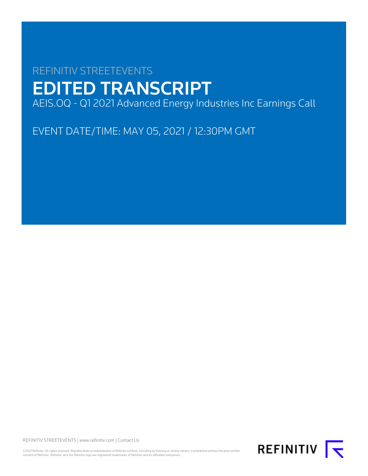# REFINITIV STREETEVENTS EDITED TRANSCRIPT AEIS.OQ - Q1 2021 Advanced Energy Industries Inc Earnings Call

EVENT DATE/TIME: MAY 05, 2021 / 12:30PM GMT

REFINITIV STREETEVENTS | [www.refinitiv.com](https://www.refinitiv.com/) | [Contact Us](https://www.refinitiv.com/en/contact-us)

©2021 Refinitiv. All rights reserved. Republication or redistribution of Refinitiv content, including by framing or similar means, is prohibited without the prior written consent of Refinitiv. 'Refinitiv' and the Refinitiv logo are registered trademarks of Refinitiv and its affiliated companies.

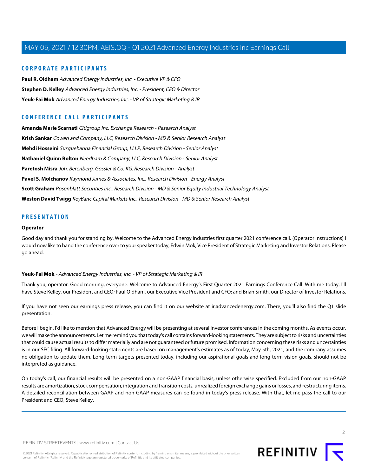# **CORPORATE PARTICIPANTS**

**[Paul R. Oldham](#page-3-0)** Advanced Energy Industries, Inc. - Executive VP & CFO **[Stephen D. Kelley](#page-2-0)** Advanced Energy Industries, Inc. - President, CEO & Director **[Yeuk-Fai Mok](#page-1-0)** Advanced Energy Industries, Inc. - VP of Strategic Marketing & IR

# **CONFERENCE CALL PARTICIPANTS**

**[Amanda Marie Scarnati](#page-7-0)** Citigroup Inc. Exchange Research - Research Analyst **[Krish Sankar](#page-6-0)** Cowen and Company, LLC, Research Division - MD & Senior Research Analyst **[Mehdi Hosseini](#page-6-1)** Susquehanna Financial Group, LLLP, Research Division - Senior Analyst **[Nathaniel Quinn Bolton](#page-4-0)** Needham & Company, LLC, Research Division - Senior Analyst **[Paretosh Misra](#page-10-0)** Joh. Berenberg, Gossler & Co. KG, Research Division - Analyst **[Pavel S. Molchanov](#page-9-0)** Raymond James & Associates, Inc., Research Division - Energy Analyst **[Scott Graham](#page-8-0)** Rosenblatt Securities Inc., Research Division - MD & Senior Equity Industrial Technology Analyst **[Weston David Twigg](#page-10-1)** KeyBanc Capital Markets Inc., Research Division - MD & Senior Research Analyst

# **PRESENTATION**

#### **Operator**

<span id="page-1-0"></span>Good day and thank you for standing by. Welcome to the Advanced Energy Industries first quarter 2021 conference call. (Operator Instructions) I would now like to hand the conference over to your speaker today, Edwin Mok, Vice President of Strategic Marketing and Investor Relations. Please go ahead.

#### **Yeuk-Fai Mok** - Advanced Energy Industries, Inc. - VP of Strategic Marketing & IR

Thank you, operator. Good morning, everyone. Welcome to Advanced Energy's First Quarter 2021 Earnings Conference Call. With me today, I'll have Steve Kelley, our President and CEO; Paul Oldham, our Executive Vice President and CFO; and Brian Smith, our Director of Investor Relations.

If you have not seen our earnings press release, you can find it on our website at ir.advancedenergy.com. There, you'll also find the Q1 slide presentation.

Before I begin, I'd like to mention that Advanced Energy will be presenting at several investor conferences in the coming months. As events occur, we will make the announcements. Let me remind you that today's call contains forward-looking statements. They are subject to risks and uncertainties that could cause actual results to differ materially and are not guaranteed or future promised. Information concerning these risks and uncertainties is in our SEC filing. All forward-looking statements are based on management's estimates as of today, May 5th, 2021, and the company assumes no obligation to update them. Long-term targets presented today, including our aspirational goals and long-term vision goals, should not be interpreted as guidance.

On today's call, our financial results will be presented on a non-GAAP financial basis, unless otherwise specified. Excluded from our non-GAAP results are amortization, stock compensation, integration and transition costs, unrealized foreign exchange gains or losses, and restructuring items. A detailed reconciliation between GAAP and non-GAAP measures can be found in today's press release. With that, let me pass the call to our President and CEO, Steve Kelley.

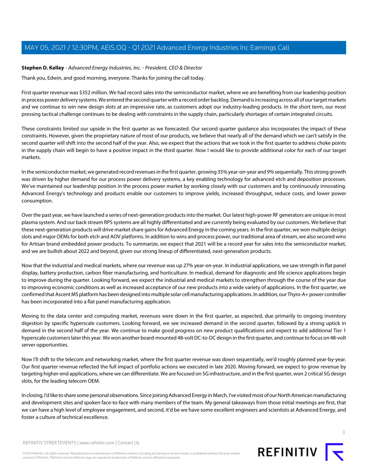# <span id="page-2-0"></span>**Stephen D. Kelley** - Advanced Energy Industries, Inc. - President, CEO & Director

Thank you, Edwin, and good morning, everyone. Thanks for joining the call today.

First quarter revenue was \$352 million. We had record sales into the semiconductor market, where we are benefiting from our leadership position in process power delivery systems. We entered the second quarter with a record order backlog. Demand is increasing across all of our target markets and we continue to win new design slots at an impressive rate, as customers adopt our industry-leading products. In the short term, our most pressing tactical challenge continues to be dealing with constraints in the supply chain, particularly shortages of certain integrated circuits.

These constraints limited our upside in the first quarter as we forecasted. Our second quarter guidance also incorporates the impact of these constraints. However, given the proprietary nature of most of our products, we believe that nearly all of the demand which we can't satisfy in the second quarter will shift into the second half of the year. Also, we expect that the actions that we took in the first quarter to address choke points in the supply chain will begin to have a positive impact in the third quarter. Now I would like to provide additional color for each of our target markets.

In the semiconductor market, we generated record revenues in the first quarter, growing 35% year-on-year and 9% sequentially. This strong growth was driven by higher demand for our process power delivery systems, a key enabling technology for advanced etch and deposition processes. We've maintained our leadership position in the process power market by working closely with our customers and by continuously innovating. Advanced Energy's technology and products enable our customers to improve yields, increased throughput, reduce costs, and lower power consumption.

Over the past year, we have launched a series of next-generation products into the market. Our latest high-power RF generators are unique in most plasma system. And our back stream RPS systems are all highly differentiated and are currently being evaluated by our customers. We believe that these next-generation products will drive market share gains for Advanced Energy in the coming years. In the first quarter, we won multiple design slots and major OEMs for both etch and AOV platforms. In addition to wins and process power, our traditional area of stream, we also secured wins for Artisan brand embedded power products. To summarize, we expect that 2021 will be a record year for sales into the semiconductor market, and we are bullish about 2022 and beyond, given our strong lineup of differentiated, next-generation products.

Now that the industrial and medical markets, where our revenue was up 27% year-on-year. In industrial applications, we saw strength in flat panel display, battery production, carbon fiber manufacturing, and horticulture. In medical, demand for diagnostic and life science applications begin to improve during the quarter. Looking forward, we expect the industrial and medical markets to strengthen through the course of the year due to improving economic conditions as well as increased acceptance of our new products into a wide variety of applications. In the first quarter, we confirmed that Ascent MS platform has been designed into multiple solar cell manufacturing applications. In addition, our Thyro-A+ power controller has been incorporated into a flat panel manufacturing application.

Moving to the data center and computing market, revenues were down in the first quarter, as expected, due primarily to ongoing inventory digestion by specific hyperscale customers. Looking forward, we see increased demand in the second quarter, followed by a strong uptick in demand in the second half of the year. We continue to make good progress on new product qualifications and expect to add additional Tier 1 hyperscale customers later this year. We won another board-mounted 48-volt DC-to-DC design in the first quarter, and continue to focus on 48-volt server opportunities.

Now I'll shift to the telecom and networking market, where the first quarter revenue was down sequentially, we'd roughly planned year-by-year. Our first quarter revenue reflected the full impact of portfolio actions we executed in late 2020. Moving forward, we expect to grow revenue by targeting higher-end applications, where we can differentiate. We are focused on 5G infrastructure, and in the first quarter, won 2 critical 5G design slots, for the leading telecom OEM.

In closing, I'd like to share some personal observations. Since joining Advanced Energy in March, I've visited most of our North American manufacturing and development sites and spoken face-to-face with many members of the team. My general takeaways from those initial meetings are first, that we can have a high level of employee engagement, and second, it'd be we have some excellent engineers and scientists at Advanced Energy, and foster a culture of technical excellence.



©2021 Refinitiv. All rights reserved. Republication or redistribution of Refinitiv content, including by framing or similar means, is prohibited without the prior written consent of Refinitiv. 'Refinitiv' and the Refinitiv logo are registered trademarks of Refinitiv and its affiliated companies.

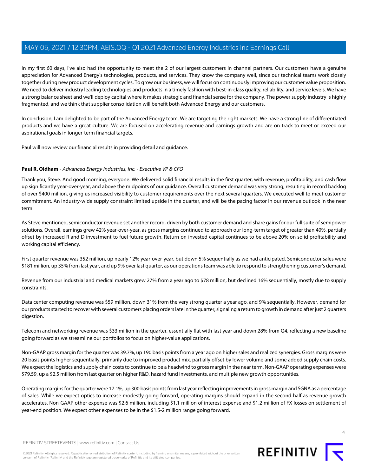In my first 60 days, I've also had the opportunity to meet the 2 of our largest customers in channel partners. Our customers have a genuine appreciation for Advanced Energy's technologies, products, and services. They know the company well, since our technical teams work closely together during new product development cycles. To grow our business, we will focus on continuously improving our customer value proposition. We need to deliver industry leading technologies and products in a timely fashion with best-in-class quality, reliability, and service levels. We have a strong balance sheet and we'll deploy capital where it makes strategic and financial sense for the company. The power supply industry is highly fragmented, and we think that supplier consolidation will benefit both Advanced Energy and our customers.

In conclusion, I am delighted to be part of the Advanced Energy team. We are targeting the right markets. We have a strong line of differentiated products and we have a great culture. We are focused on accelerating revenue and earnings growth and are on track to meet or exceed our aspirational goals in longer-term financial targets.

<span id="page-3-0"></span>Paul will now review our financial results in providing detail and guidance.

# **Paul R. Oldham** - Advanced Energy Industries, Inc. - Executive VP & CFO

Thank you, Steve. And good morning, everyone. We delivered solid financial results in the first quarter, with revenue, profitability, and cash flow up significantly year-over-year, and above the midpoints of our guidance. Overall customer demand was very strong, resulting in record backlog of over \$400 million, giving us increased visibility to customer requirements over the next several quarters. We executed well to meet customer commitment. An industry-wide supply constraint limited upside in the quarter, and will be the pacing factor in our revenue outlook in the near term.

As Steve mentioned, semiconductor revenue set another record, driven by both customer demand and share gains for our full suite of semipower solutions. Overall, earnings grew 42% year-over-year, as gross margins continued to approach our long-term target of greater than 40%, partially offset by increased R and D investment to fuel future growth. Return on invested capital continues to be above 20% on solid profitability and working capital efficiency.

First quarter revenue was 352 million, up nearly 12% year-over-year, but down 5% sequentially as we had anticipated. Semiconductor sales were \$181 million, up 35% from last year, and up 9% over last quarter, as our operations team was able to respond to strengthening customer's demand.

Revenue from our industrial and medical markets grew 27% from a year ago to \$78 million, but declined 16% sequentially, mostly due to supply constraints.

Data center computing revenue was \$59 million, down 31% from the very strong quarter a year ago, and 9% sequentially. However, demand for our products started to recover with several customers placing orders late in the quarter, signaling a return to growth in demand after just 2 quarters digestion.

Telecom and networking revenue was \$33 million in the quarter, essentially flat with last year and down 28% from Q4, reflecting a new baseline going forward as we streamline our portfolios to focus on higher-value applications.

Non-GAAP gross margin for the quarter was 39.7%, up 190 basis points from a year ago on higher sales and realized synergies. Gross margins were 20 basis points higher sequentially, primarily due to improved product mix, partially offset by lower volume and some added supply chain costs. We expect the logistics and supply chain costs to continue to be a headwind to gross margin in the near term. Non-GAAP operating expenses were \$79.59, up a \$2.5 million from last quarter on higher R&D, hazard fund investments, and multiple new growth opportunities.

Operating margins for the quarter were 17.1%, up 300 basis points from last year reflecting improvements in gross margin and SGNA as a percentage of sales. While we expect optics to increase modestly going forward, operating margins should expand in the second half as revenue growth accelerates. Non-GAAP other expense was \$2.6 million, including \$1.1 million of interest expense and \$1.2 million of FX losses on settlement of year-end position. We expect other expenses to be in the \$1.5-2 million range going forward.



©2021 Refinitiv. All rights reserved. Republication or redistribution of Refinitiv content, including by framing or similar means, is prohibited without the prior written consent of Refinitiv. 'Refinitiv' and the Refinitiv logo are registered trademarks of Refinitiv and its affiliated companies.



REFINITIV **K**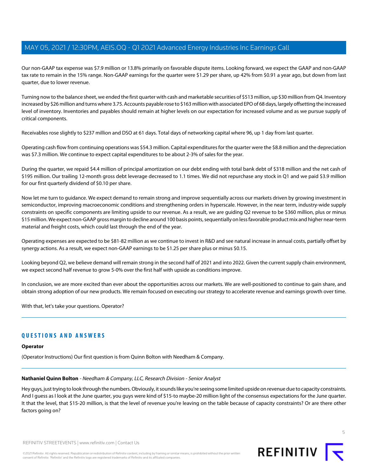Our non-GAAP tax expense was \$7.9 million or 13.8% primarily on favorable dispute items. Looking forward, we expect the GAAP and non-GAAP tax rate to remain in the 15% range. Non-GAAP earnings for the quarter were \$1.29 per share, up 42% from \$0.91 a year ago, but down from last quarter, due to lower revenue.

Turning now to the balance sheet, we ended the first quarter with cash and marketable securities of \$513 million, up \$30 million from Q4. Inventory increased by \$26 million and turns where 3.75. Accounts payable rose to \$163 million with associated EPO of 68 days, largely offsetting the increased level of inventory. Inventories and payables should remain at higher levels on our expectation for increased volume and as we pursue supply of critical components.

Receivables rose slightly to \$237 million and DSO at 61 days. Total days of networking capital where 96, up 1 day from last quarter.

Operating cash flow from continuing operations was \$54.3 million. Capital expenditures for the quarter were the \$8.8 million and the depreciation was \$7.3 million. We continue to expect capital expenditures to be about 2-3% of sales for the year.

During the quarter, we repaid \$4.4 million of principal amortization on our debt ending with total bank debt of \$318 million and the net cash of \$195 million. Our trailing 12-month gross debt leverage decreased to 1.1 times. We did not repurchase any stock in Q1 and we paid \$3.9 million for our first quarterly dividend of \$0.10 per share.

Now let me turn to guidance. We expect demand to remain strong and improve sequentially across our markets driven by growing investment in semiconductor, improving macroeconomic conditions and strengthening orders in hyperscale. However, in the near term, industry-wide supply constraints on specific components are limiting upside to our revenue. As a result, we are guiding Q2 revenue to be \$360 million, plus or minus \$15 million. We expect non-GAAP gross margin to decline around 100 basis points, sequentially on less favorable product mix and higher near-term material and freight costs, which could last through the end of the year.

Operating expenses are expected to be \$81-82 million as we continue to invest in R&D and see natural increase in annual costs, partially offset by synergy actions. As a result, we expect non-GAAP earnings to be \$1.25 per share plus or minus \$0.15.

Looking beyond Q2, we believe demand will remain strong in the second half of 2021 and into 2022. Given the current supply chain environment, we expect second half revenue to grow 5-0% over the first half with upside as conditions improve.

In conclusion, we are more excited than ever about the opportunities across our markets. We are well-positioned to continue to gain share, and obtain strong adoption of our new products. We remain focused on executing our strategy to accelerate revenue and earnings growth over time.

With that, let's take your questions. Operator?

# **QUESTIONS AND ANSWERS**

# <span id="page-4-0"></span>**Operator**

(Operator Instructions) Our first question is from Quinn Bolton with Needham & Company.

#### **Nathaniel Quinn Bolton** - Needham & Company, LLC, Research Division - Senior Analyst

Hey guys, just trying to look through the numbers. Obviously, it sounds like you're seeing some limited upside on revenue due to capacity constraints. And I guess as I look at the June quarter, you guys were kind of \$15-to maybe-20 million light of the consensus expectations for the June quarter. It that the level, that \$15-20 million, is that the level of revenue you're leaving on the table because of capacity constraints? Or are there other factors going on?



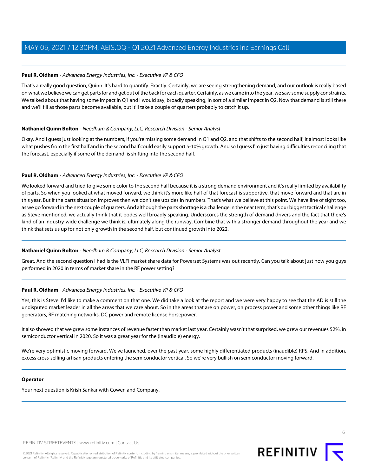# **Paul R. Oldham** - Advanced Energy Industries, Inc. - Executive VP & CFO

That's a really good question, Quinn. It's hard to quantify. Exactly. Certainly, we are seeing strengthening demand, and our outlook is really based on what we believe we can get parts for and get out of the back for each quarter. Certainly, as we came into the year, we saw some supply constraints. We talked about that having some impact in Q1 and I would say, broadly speaking, in sort of a similar impact in Q2. Now that demand is still there and we'll fill as those parts become available, but it'll take a couple of quarters probably to catch it up.

# **Nathaniel Quinn Bolton** - Needham & Company, LLC, Research Division - Senior Analyst

Okay. And I guess just looking at the numbers, if you're missing some demand in Q1 and Q2, and that shifts to the second half, it almost looks like what pushes from the first half and in the second half could easily support 5-10% growth. And so I guess I'm just having difficulties reconciling that the forecast, especially if some of the demand, is shifting into the second half.

# **Paul R. Oldham** - Advanced Energy Industries, Inc. - Executive VP & CFO

We looked forward and tried to give some color to the second half because it is a strong demand environment and it's really limited by availability of parts. So when you looked at what moved forward, we think it's more like half of that forecast is supportive, that move forward and that are in this year. But if the parts situation improves then we don't see upsides in numbers. That's what we believe at this point. We have line of sight too, as we go forward in the next couple of quarters. And although the parts shortage is a challenge in the near term, that's our biggest tactical challenge as Steve mentioned, we actually think that it bodes well broadly speaking. Underscores the strength of demand drivers and the fact that there's kind of an industry-wide challenge we think is, ultimately along the runway. Combine that with a stronger demand throughout the year and we think that sets us up for not only growth in the second half, but continued growth into 2022.

# **Nathaniel Quinn Bolton** - Needham & Company, LLC, Research Division - Senior Analyst

Great. And the second question I had is the VLFI market share data for Powerset Systems was out recently. Can you talk about just how you guys performed in 2020 in terms of market share in the RF power setting?

# **Paul R. Oldham** - Advanced Energy Industries, Inc. - Executive VP & CFO

Yes, this is Steve. I'd like to make a comment on that one. We did take a look at the report and we were very happy to see that the AD is still the undisputed market leader in all the areas that we care about. So in the areas that are on power, on process power and some other things like RF generators, RF matching networks, DC power and remote license horsepower.

It also showed that we grew some instances of revenue faster than market last year. Certainly wasn't that surprised, we grew our revenues 52%, in semiconductor vertical in 2020. So it was a great year for the (inaudible) energy.

We're very optimistic moving forward. We've launched, over the past year, some highly differentiated products (inaudible) RPS. And in addition, excess cross-selling artisan products entering the semiconductor vertical. So we're very bullish on semiconductor moving forward.

# **Operator**

Your next question is Krish Sankar with Cowen and Company.

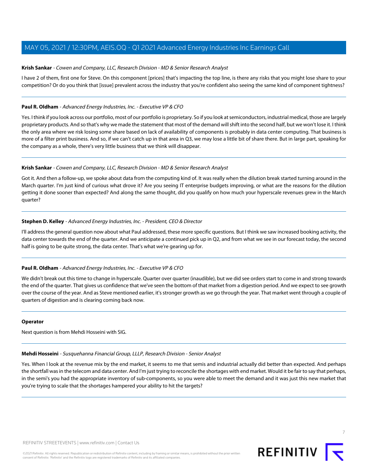# <span id="page-6-0"></span>**Krish Sankar** - Cowen and Company, LLC, Research Division - MD & Senior Research Analyst

I have 2 of them, first one for Steve. On this component [prices] that's impacting the top line, is there any risks that you might lose share to your competition? Or do you think that [issue] prevalent across the industry that you're confident also seeing the same kind of component tightness?

# **Paul R. Oldham** - Advanced Energy Industries, Inc. - Executive VP & CFO

Yes. I think if you look across our portfolio, most of our portfolio is proprietary. So if you look at semiconductors, industrial medical, those are largely proprietary products. And so that's why we made the statement that most of the demand will shift into the second half, but we won't lose it. I think the only area where we risk losing some share based on lack of availability of components is probably in data center computing. That business is more of a filter print business. And so, if we can't catch up in that area in Q3, we may lose a little bit of share there. But in large part, speaking for the company as a whole, there's very little business that we think will disappear.

# **Krish Sankar** - Cowen and Company, LLC, Research Division - MD & Senior Research Analyst

Got it. And then a follow-up, we spoke about data from the computing kind of. It was really when the dilution break started turning around in the March quarter. I'm just kind of curious what drove it? Are you seeing IT enterprise budgets improving, or what are the reasons for the dilution getting it done sooner than expected? And along the same thought, did you qualify on how much your hyperscale revenues grew in the March quarter?

# **Stephen D. Kelley** - Advanced Energy Industries, Inc. - President, CEO & Director

I'll address the general question now about what Paul addressed, these more specific questions. But I think we saw increased booking activity, the data center towards the end of the quarter. And we anticipate a continued pick up in Q2, and from what we see in our forecast today, the second half is going to be quite strong, the data center. That's what we're gearing up for.

# **Paul R. Oldham** - Advanced Energy Industries, Inc. - Executive VP & CFO

We didn't break out this time to change in hyperscale. Quarter over quarter (inaudible), but we did see orders start to come in and strong towards the end of the quarter. That gives us confidence that we've seen the bottom of that market from a digestion period. And we expect to see growth over the course of the year. And as Steve mentioned earlier, it's stronger growth as we go through the year. That market went through a couple of quarters of digestion and is clearing coming back now.

#### <span id="page-6-1"></span>**Operator**

Next question is from Mehdi Hosseini with SIG.

#### **Mehdi Hosseini** - Susquehanna Financial Group, LLLP, Research Division - Senior Analyst

Yes. When I look at the revenue mix by the end market, it seems to me that semis and industrial actually did better than expected. And perhaps the shortfall was in the telecom and data center. And I'm just trying to reconcile the shortages with end market. Would it be fair to say that perhaps, in the semi's you had the appropriate inventory of sub-components, so you were able to meet the demand and it was just this new market that you're trying to scale that the shortages hampered your ability to hit the targets?

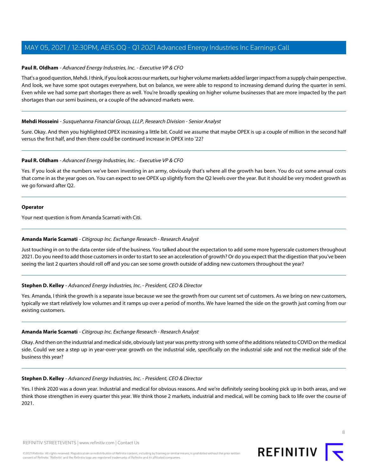# **Paul R. Oldham** - Advanced Energy Industries, Inc. - Executive VP & CFO

That's a good question, Mehdi. I think, if you look across our markets, our higher volume markets added larger impact from a supply chain perspective. And look, we have some spot outages everywhere, but on balance, we were able to respond to increasing demand during the quarter in semi. Even while we had some part shortages there as well. You're broadly speaking on higher volume businesses that are more impacted by the part shortages than our semi business, or a couple of the advanced markets were.

# **Mehdi Hosseini** - Susquehanna Financial Group, LLLP, Research Division - Senior Analyst

Sure. Okay. And then you highlighted OPEX increasing a little bit. Could we assume that maybe OPEX is up a couple of million in the second half versus the first half, and then there could be continued increase in OPEX into '22?

# **Paul R. Oldham** - Advanced Energy Industries, Inc. - Executive VP & CFO

Yes. If you look at the numbers we've been investing in an army, obviously that's where all the growth has been. You do cut some annual costs that come in as the year goes on. You can expect to see OPEX up slightly from the Q2 levels over the year. But it should be very modest growth as we go forward after Q2.

#### **Operator**

<span id="page-7-0"></span>Your next question is from Amanda Scarnati with Citi.

#### **Amanda Marie Scarnati** - Citigroup Inc. Exchange Research - Research Analyst

Just touching in on to the data center side of the business. You talked about the expectation to add some more hyperscale customers throughout 2021. Do you need to add those customers in order to start to see an acceleration of growth? Or do you expect that the digestion that you've been seeing the last 2 quarters should roll off and you can see some growth outside of adding new customers throughout the year?

# **Stephen D. Kelley** - Advanced Energy Industries, Inc. - President, CEO & Director

Yes. Amanda, I think the growth is a separate issue because we see the growth from our current set of customers. As we bring on new customers, typically we start relatively low volumes and it ramps up over a period of months. We have learned the side on the growth just coming from our existing customers.

#### **Amanda Marie Scarnati** - Citigroup Inc. Exchange Research - Research Analyst

Okay. And then on the industrial and medical side, obviously last year was pretty strong with some of the additions related to COVID on the medical side. Could we see a step up in year-over-year growth on the industrial side, specifically on the industrial side and not the medical side of the business this year?

#### **Stephen D. Kelley** - Advanced Energy Industries, Inc. - President, CEO & Director

Yes. I think 2020 was a down year. Industrial and medical for obvious reasons. And we're definitely seeing booking pick up in both areas, and we think those strengthen in every quarter this year. We think those 2 markets, industrial and medical, will be coming back to life over the course of 2021.

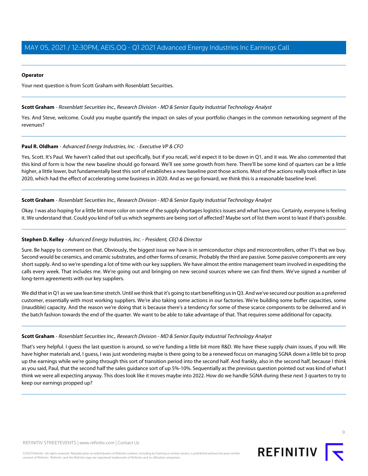# **Operator**

<span id="page-8-0"></span>Your next question is from Scott Graham with Rosenblatt Securities.

# **Scott Graham** - Rosenblatt Securities Inc., Research Division - MD & Senior Equity Industrial Technology Analyst

Yes. And Steve, welcome. Could you maybe quantify the impact on sales of your portfolio changes in the common networking segment of the revenues?

# **Paul R. Oldham** - Advanced Energy Industries, Inc. - Executive VP & CFO

Yes, Scott. It's Paul. We haven't called that out specifically, but if you recall, we'd expect it to be down in Q1, and it was. We also commented that this kind of form is how the new baseline should go forward. We'll see some growth from here. There'll be some kind of quarters can be a little higher, a little lower, but fundamentally beat this sort of establishes a new baseline post those actions. Most of the actions really took effect in late 2020, which had the effect of accelerating some business in 2020. And as we go forward, we think this is a reasonable baseline level.

# **Scott Graham** - Rosenblatt Securities Inc., Research Division - MD & Senior Equity Industrial Technology Analyst

Okay. I was also hoping for a little bit more color on some of the supply shortages logistics issues and what have you. Certainly, everyone is feeling it. We understand that. Could you kind of tell us which segments are being sort of affected? Maybe sort of list them worst to least if that's possible.

#### **Stephen D. Kelley** - Advanced Energy Industries, Inc. - President, CEO & Director

Sure. Be happy to comment on that. Obviously, the biggest issue we have is in semiconductor chips and microcontrollers, other IT's that we buy. Second would be ceramics, and ceramic substrates, and other forms of ceramic. Probably the third are passive. Some passive components are very short supply. And so we're spending a lot of time with our key suppliers. We have almost the entire management team involved in expediting the calls every week. That includes me. We're going out and bringing on new second sources where we can find them. We've signed a number of long-term agreements with our key suppliers.

We did that in Q1 as we saw lean time stretch. Until we think that it's going to start benefiting us in Q3. And we've secured our position as a preferred customer, essentially with most working suppliers. We're also taking some actions in our factories. We're building some buffer capacities, some (inaudible) capacity. And the reason we're doing that is because there's a tendency for some of these scarce components to be delivered and in the batch fashion towards the end of the quarter. We want to be able to take advantage of that. That requires some additional for capacity.

#### **Scott Graham** - Rosenblatt Securities Inc., Research Division - MD & Senior Equity Industrial Technology Analyst

That's very helpful. I guess the last question is around, so we're funding a little bit more R&D. We have these supply chain issues, if you will. We have higher materials and, I guess, I was just wondering maybe is there going to be a renewed focus on managing SGNA down a little bit to prop up the earnings while we're going through this sort of transition period into the second half. And frankly, also in the second half, because I think as you said, Paul, that the second half the sales guidance sort of up 5%-10%. Sequentially as the previous question pointed out was kind of what I think we were all expecting anyway. This does look like it moves maybe into 2022. How do we handle SGNA during these next 3 quarters to try to keep our earnings propped up?

 $\circ$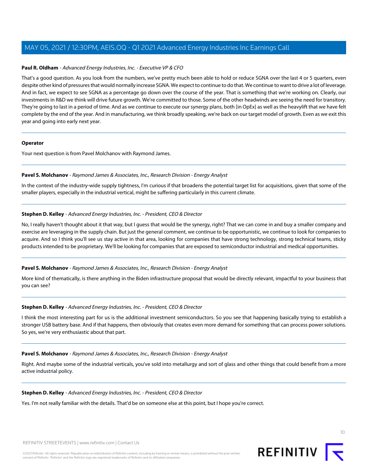# **Paul R. Oldham** - Advanced Energy Industries, Inc. - Executive VP & CFO

That's a good question. As you look from the numbers, we've pretty much been able to hold or reduce SGNA over the last 4 or 5 quarters, even despite other kind of pressures that would normally increase SGNA. We expect to continue to do that. We continue to want to drive a lot of leverage. And in fact, we expect to see SGNA as a percentage go down over the course of the year. That is something that we're working on. Clearly, our investments in R&D we think will drive future growth. We're committed to those. Some of the other headwinds are seeing the need for transitory. They're going to last in a period of time. And as we continue to execute our synergy plans, both [in OpEx] as well as the heavylift that we have felt complete by the end of the year. And in manufacturing, we think broadly speaking, we're back on our target model of growth. Even as we exit this year and going into early next year.

#### **Operator**

<span id="page-9-0"></span>Your next question is from Pavel Molchanov with Raymond James.

# **Pavel S. Molchanov** - Raymond James & Associates, Inc., Research Division - Energy Analyst

In the context of the industry-wide supply tightness, I'm curious if that broadens the potential target list for acquisitions, given that some of the smaller players, especially in the industrial vertical, might be suffering particularly in this current climate.

# **Stephen D. Kelley** - Advanced Energy Industries, Inc. - President, CEO & Director

No, I really haven't thought about it that way, but I guess that would be the synergy, right? That we can come in and buy a smaller company and exercise are leveraging in the supply chain. But just the general comment, we continue to be opportunistic, we continue to look for companies to acquire. And so I think you'll see us stay active in that area, looking for companies that have strong technology, strong technical teams, sticky products intended to be proprietary. We'll be looking for companies that are exposed to semiconductor industrial and medical opportunities.

# **Pavel S. Molchanov** - Raymond James & Associates, Inc., Research Division - Energy Analyst

More kind of thematically, is there anything in the Biden infrastructure proposal that would be directly relevant, impactful to your business that you can see?

# **Stephen D. Kelley** - Advanced Energy Industries, Inc. - President, CEO & Director

I think the most interesting part for us is the additional investment semiconductors. So you see that happening basically trying to establish a stronger USB battery base. And if that happens, then obviously that creates even more demand for something that can process power solutions. So yes, we're very enthusiastic about that part.

#### **Pavel S. Molchanov** - Raymond James & Associates, Inc., Research Division - Energy Analyst

Right. And maybe some of the industrial verticals, you've sold into metallurgy and sort of glass and other things that could benefit from a more active industrial policy.

#### **Stephen D. Kelley** - Advanced Energy Industries, Inc. - President, CEO & Director

Yes. I'm not really familiar with the details. That'd be on someone else at this point, but I hope you're correct.

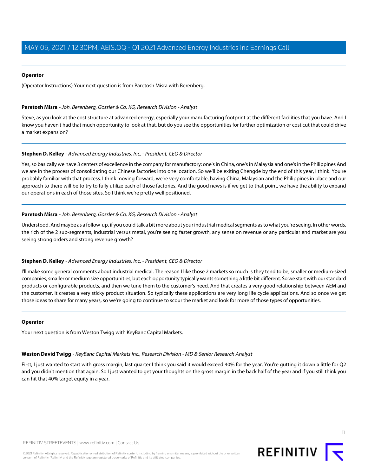# **Operator**

(Operator Instructions) Your next question is from Paretosh Misra with Berenberg.

# <span id="page-10-0"></span>**Paretosh Misra** - Joh. Berenberg, Gossler & Co. KG, Research Division - Analyst

Steve, as you look at the cost structure at advanced energy, especially your manufacturing footprint at the different facilities that you have. And I know you haven't had that much opportunity to look at that, but do you see the opportunities for further optimization or cost cut that could drive a market expansion?

# **Stephen D. Kelley** - Advanced Energy Industries, Inc. - President, CEO & Director

Yes, so basically we have 3 centers of excellence in the company for manufactory: one's in China, one's in Malaysia and one's in the Philippines And we are in the process of consolidating our Chinese factories into one location. So we'll be exiting Chengde by the end of this year, I think. You're probably familiar with that process. I think moving forward, we're very comfortable, having China, Malaysian and the Philippines in place and our approach to there will be to try to fully utilize each of those factories. And the good news is if we get to that point, we have the ability to expand our operations in each of those sites. So I think we're pretty well positioned.

# **Paretosh Misra** - Joh. Berenberg, Gossler & Co. KG, Research Division - Analyst

Understood. And maybe as a follow-up, if you could talk a bit more about your industrial medical segments as to what you're seeing. In other words, the rich of the 2 sub-segments, industrial versus metal, you're seeing faster growth, any sense on revenue or any particular end market are you seeing strong orders and strong revenue growth?

#### **Stephen D. Kelley** - Advanced Energy Industries, Inc. - President, CEO & Director

I'll make some general comments about industrial medical. The reason I like those 2 markets so much is they tend to be, smaller or medium-sized companies, smaller or medium size opportunities, but each opportunity typically wants something a little bit different. So we start with our standard products or configurable products, and then we tune them to the customer's need. And that creates a very good relationship between AEM and the customer. It creates a very sticky product situation. So typically these applications are very long life cycle applications. And so once we get those ideas to share for many years, so we're going to continue to scour the market and look for more of those types of opportunities.

#### <span id="page-10-1"></span>**Operator**

Your next question is from Weston Twigg with KeyBanc Capital Markets.

# **Weston David Twigg** - KeyBanc Capital Markets Inc., Research Division - MD & Senior Research Analyst

First, I just wanted to start with gross margin, last quarter I think you said it would exceed 40% for the year. You're gutting it down a little for Q2 and you didn't mention that again. So I just wanted to get your thoughts on the gross margin in the back half of the year and if you still think you can hit that 40% target equity in a year.

11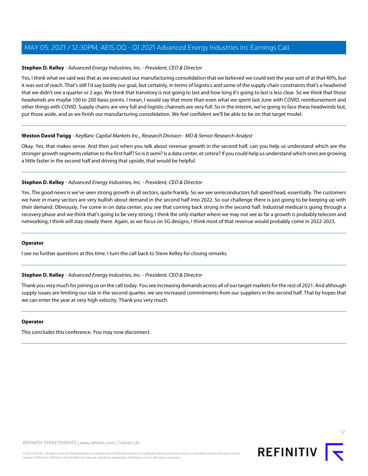# **Stephen D. Kelley** - Advanced Energy Industries, Inc. - President, CEO & Director

Yes, I think what we said was that as we executed our manufacturing consolidation that we believed we could exit the year sort of at that 40%, but it was out of reach. That's still I'd say bodily our goal, but certainly, in terms of logistics and some of the supply chain constraints that's a headwind that we didn't see a quarter or 2 ago. We think that transitory is not going to last and how long it's going to last is less clear. So we think that those headwinds are maybe 100 to 200 basis points. I mean, I would say that more than even what we spent last June with COVID, reimbursement and other things with COVID. Supply chains are very full and logistic channels are very full. So in the interim, we're going to face these headwinds but, put those aside, and as we finish our manufacturing consolidation. We feel confident we'll be able to be on that target model.

# **Weston David Twigg** - KeyBanc Capital Markets Inc., Research Division - MD & Senior Research Analyst

Okay. Yes, that makes sense. And then just when you talk about revenue growth in the second half, can you help us understand which are the stronger growth segments relative to the first half? So is it semi? Is a data center, et cetera? If you could help us understand which ones are growing a little faster in the second half and driving that upside, that would be helpful.

# **Stephen D. Kelley** - Advanced Energy Industries, Inc. - President, CEO & Director

Yes. The good news is we've seen strong growth in all sectors, quite frankly. So we see semiconductors full speed head, essentially. The customers we have in many sectors are very bullish about demand in the second half into 2022. So our challenge there is just going to be keeping up with their demand. Obviously, I've come in on data center, you see that coming back strong in the second half. Industrial medical is going through a recovery phase and we think that's going to be very strong. I think the only market where we may not see as far a growth is probably telecom and networking; I think will stay steady there. Again, as we focus on 5G designs, I think most of that revenue would probably come in 2022-2023.

#### **Operator**

I see no further questions at this time. I turn the call back to Steve Kelley for closing remarks.

# **Stephen D. Kelley** - Advanced Energy Industries, Inc. - President, CEO & Director

Thank you very much for joining us on the call today. You see increasing demands across all of our target markets for the rest of 2021. And although supply issues are limiting our size in the second quarter, we see increased commitments from our suppliers in the second half. That by hopes that we can enter the year at very high velocity. Thank you very much.

# **Operator**

This concludes this conference. You may now disconnect.